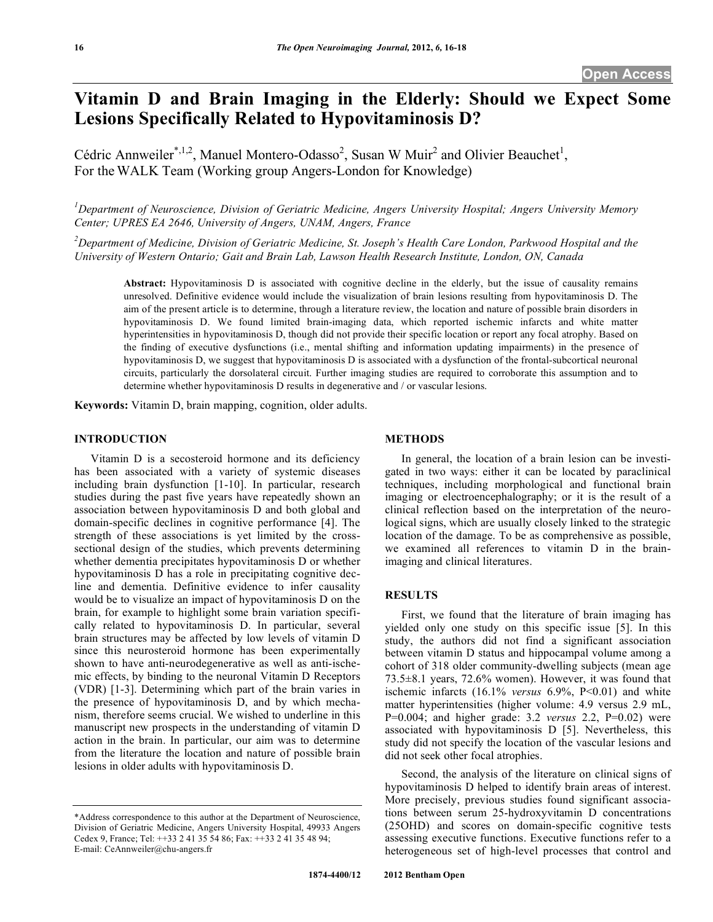# **Vitamin D and Brain Imaging in the Elderly: Should we Expect Some Lesions Specifically Related to Hypovitaminosis D?**

Cédric Annweiler<sup>\*,1,2</sup>, Manuel Montero-Odasso<sup>2</sup>, Susan W Muir<sup>2</sup> and Olivier Beauchet<sup>1</sup>, For theWALK Team (Working group Angers-London for Knowledge)

*1 Department of Neuroscience, Division of Geriatric Medicine, Angers University Hospital; Angers University Memory Center; UPRES EA 2646, University of Angers, UNAM, Angers, France*

 $^2$ Department of Medicine, Division of Geriatric Medicine, St. Joseph's Health Care London, Parkwood Hospital and the *University of Western Ontario; Gait and Brain Lab, Lawson Health Research Institute, London, ON, Canada*

**Abstract:** Hypovitaminosis D is associated with cognitive decline in the elderly, but the issue of causality remains unresolved. Definitive evidence would include the visualization of brain lesions resulting from hypovitaminosis D. The aim of the present article is to determine, through a literature review, the location and nature of possible brain disorders in hypovitaminosis D. We found limited brain-imaging data, which reported ischemic infarcts and white matter hyperintensities in hypovitaminosis D, though did not provide their specific location or report any focal atrophy. Based on the finding of executive dysfunctions (i.e., mental shifting and information updating impairments) in the presence of hypovitaminosis D, we suggest that hypovitaminosis D is associated with a dysfunction of the frontal-subcortical neuronal circuits, particularly the dorsolateral circuit. Further imaging studies are required to corroborate this assumption and to determine whether hypovitaminosis D results in degenerative and / or vascular lesions.

**Keywords:** Vitamin D, brain mapping, cognition, older adults.

#### **INTRODUCTION**

Vitamin D is a secosteroid hormone and its deficiency has been associated with a variety of systemic diseases including brain dysfunction [1-10]. In particular, research studies during the past five years have repeatedly shown an association between hypovitaminosis D and both global and domain-specific declines in cognitive performance [4]. The strength of these associations is yet limited by the crosssectional design of the studies, which prevents determining whether dementia precipitates hypovitaminosis D or whether hypovitaminosis D has a role in precipitating cognitive decline and dementia. Definitive evidence to infer causality would be to visualize an impact of hypovitaminosis D on the brain, for example to highlight some brain variation specifically related to hypovitaminosis D. In particular, several brain structures may be affected by low levels of vitamin D since this neurosteroid hormone has been experimentally shown to have anti-neurodegenerative as well as anti-ischemic effects, by binding to the neuronal Vitamin D Receptors (VDR) [1-3]. Determining which part of the brain varies in the presence of hypovitaminosis D, and by which mechanism, therefore seems crucial. We wished to underline in this manuscript new prospects in the understanding of vitamin D action in the brain. In particular, our aim was to determine from the literature the location and nature of possible brain lesions in older adults with hypovitaminosis D.

### **METHODS**

In general, the location of a brain lesion can be investigated in two ways: either it can be located by paraclinical techniques, including morphological and functional brain imaging or electroencephalography; or it is the result of a clinical reflection based on the interpretation of the neurological signs, which are usually closely linked to the strategic location of the damage. To be as comprehensive as possible, we examined all references to vitamin D in the brainimaging and clinical literatures.

### **RESULTS**

First, we found that the literature of brain imaging has yielded only one study on this specific issue [5]. In this study, the authors did not find a significant association between vitamin D status and hippocampal volume among a cohort of 318 older community-dwelling subjects (mean age 73.5±8.1 years, 72.6% women). However, it was found that ischemic infarcts (16.1% *versus* 6.9%, P<0.01) and white matter hyperintensities (higher volume: 4.9 versus 2.9 mL, P=0.004; and higher grade: 3.2 *versus* 2.2, P=0.02) were associated with hypovitaminosis D [5]. Nevertheless, this study did not specify the location of the vascular lesions and did not seek other focal atrophies.

Second, the analysis of the literature on clinical signs of hypovitaminosis D helped to identify brain areas of interest. More precisely, previous studies found significant associations between serum 25-hydroxyvitamin D concentrations (25OHD) and scores on domain-specific cognitive tests assessing executive functions. Executive functions refer to a heterogeneous set of high-level processes that control and

<sup>\*</sup>Address correspondence to this author at the Department of Neuroscience, Division of Geriatric Medicine, Angers University Hospital, 49933 Angers Cedex 9, France; Tel: ++33 2 41 35 54 86; Fax: ++33 2 41 35 48 94; E-mail: CeAnnweiler@chu-angers.fr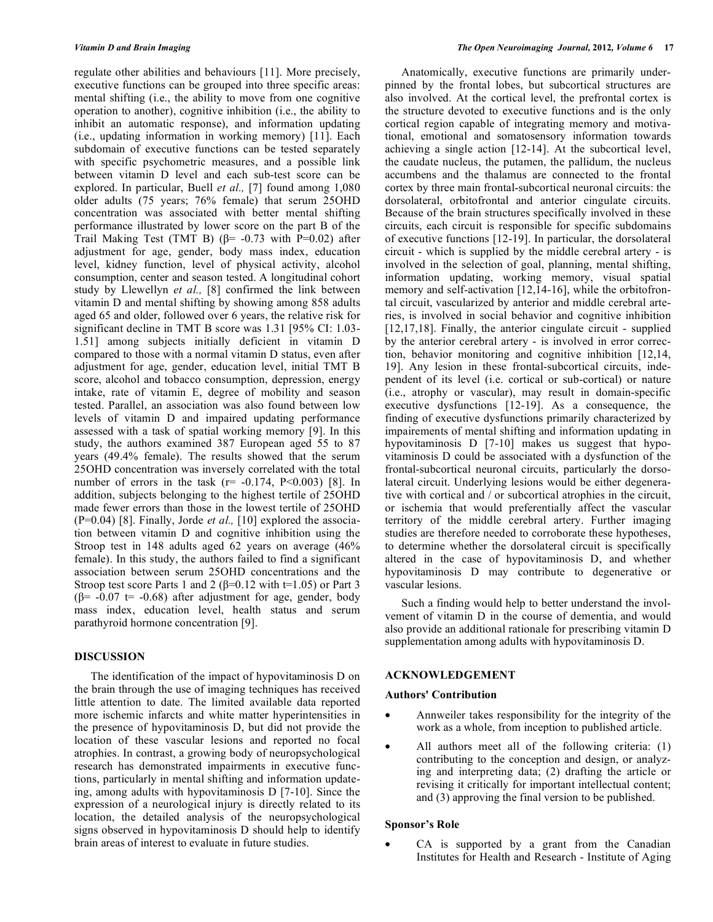regulate other abilities and behaviours [11]. More precisely, executive functions can be grouped into three specific areas: mental shifting (i.e., the ability to move from one cognitive operation to another), cognitive inhibition (i.e., the ability to inhibit an automatic response), and information updating (i.e., updating information in working memory) [11]. Each subdomain of executive functions can be tested separately with specific psychometric measures, and a possible link between vitamin D level and each sub-test score can be explored. In particular, Buell *et al.,* [7] found among 1,080 older adults (75 years; 76% female) that serum 25OHD concentration was associated with better mental shifting performance illustrated by lower score on the part B of the Trail Making Test (TMT B) ( $\beta$ = -0.73 with P=0.02) after adjustment for age, gender, body mass index, education level, kidney function, level of physical activity, alcohol consumption, center and season tested. A longitudinal cohort study by Llewellyn *et al.,* [8] confirmed the link between vitamin D and mental shifting by showing among 858 adults aged 65 and older, followed over 6 years, the relative risk for significant decline in TMT B score was 1.31 [95% CI: 1.03- 1.51] among subjects initially deficient in vitamin D compared to those with a normal vitamin D status, even after adjustment for age, gender, education level, initial TMT B score, alcohol and tobacco consumption, depression, energy intake, rate of vitamin E, degree of mobility and season tested. Parallel, an association was also found between low levels of vitamin D and impaired updating performance assessed with a task of spatial working memory [9]. In this study, the authors examined 387 European aged 55 to 87 years (49.4% female). The results showed that the serum 25OHD concentration was inversely correlated with the total number of errors in the task  $(r=-0.174, P<0.003)$  [8]. In addition, subjects belonging to the highest tertile of 25OHD made fewer errors than those in the lowest tertile of 25OHD (P=0.04) [8]. Finally, Jorde *et al.,* [10] explored the association between vitamin D and cognitive inhibition using the Stroop test in 148 adults aged 62 years on average (46% female). In this study, the authors failed to find a significant association between serum 25OHD concentrations and the Stroop test score Parts 1 and 2 ( $\beta$ =0.12 with t=1.05) or Part 3 ( $\beta$ = -0.07 t= -0.68) after adjustment for age, gender, body mass index, education level, health status and serum parathyroid hormone concentration [9].

#### **DISCUSSION**

The identification of the impact of hypovitaminosis D on the brain through the use of imaging techniques has received little attention to date. The limited available data reported more ischemic infarcts and white matter hyperintensities in the presence of hypovitaminosis D, but did not provide the location of these vascular lesions and reported no focal atrophies. In contrast, a growing body of neuropsychological research has demonstrated impairments in executive functions, particularly in mental shifting and information updateing, among adults with hypovitaminosis D [7-10]. Since the expression of a neurological injury is directly related to its location, the detailed analysis of the neuropsychological signs observed in hypovitaminosis D should help to identify brain areas of interest to evaluate in future studies.

Anatomically, executive functions are primarily underpinned by the frontal lobes, but subcortical structures are also involved. At the cortical level, the prefrontal cortex is the structure devoted to executive functions and is the only cortical region capable of integrating memory and motivational, emotional and somatosensory information towards achieving a single action [12-14]. At the subcortical level, the caudate nucleus, the putamen, the pallidum, the nucleus accumbens and the thalamus are connected to the frontal cortex by three main frontal-subcortical neuronal circuits: the dorsolateral, orbitofrontal and anterior cingulate circuits. Because of the brain structures specifically involved in these circuits, each circuit is responsible for specific subdomains of executive functions [12-19]. In particular, the dorsolateral circuit - which is supplied by the middle cerebral artery - is involved in the selection of goal, planning, mental shifting, information updating, working memory, visual spatial memory and self-activation [12,14-16], while the orbitofrontal circuit, vascularized by anterior and middle cerebral arteries, is involved in social behavior and cognitive inhibition [12,17,18]. Finally, the anterior cingulate circuit - supplied by the anterior cerebral artery - is involved in error correction, behavior monitoring and cognitive inhibition [12,14, 19]. Any lesion in these frontal-subcortical circuits, independent of its level (i.e. cortical or sub-cortical) or nature (i.e., atrophy or vascular), may result in domain-specific executive dysfunctions  $[12-19]$ . As a consequence, the finding of executive dysfunctions primarily characterized by impairements of mental shifting and information updating in hypovitaminosis D [7-10] makes us suggest that hypovitaminosis D could be associated with a dysfunction of the frontal-subcortical neuronal circuits, particularly the dorsolateral circuit. Underlying lesions would be either degenerative with cortical and / or subcortical atrophies in the circuit, or ischemia that would preferentially affect the vascular territory of the middle cerebral artery. Further imaging studies are therefore needed to corroborate these hypotheses, to determine whether the dorsolateral circuit is specifically altered in the case of hypovitaminosis D, and whether hypovitaminosis D may contribute to degenerative or vascular lesions.

Such a finding would help to better understand the involvement of vitamin D in the course of dementia, and would also provide an additional rationale for prescribing vitamin D supplementation among adults with hypovitaminosis D.

#### **ACKNOWLEDGEMENT**

### **Authors' Contribution**

- Annweiler takes responsibility for the integrity of the work as a whole, from inception to published article.
- All authors meet all of the following criteria: (1) contributing to the conception and design, or analyzing and interpreting data; (2) drafting the article or revising it critically for important intellectual content; and (3) approving the final version to be published.

### **Sponsor's Role**

CA is supported by a grant from the Canadian Institutes for Health and Research - Institute of Aging